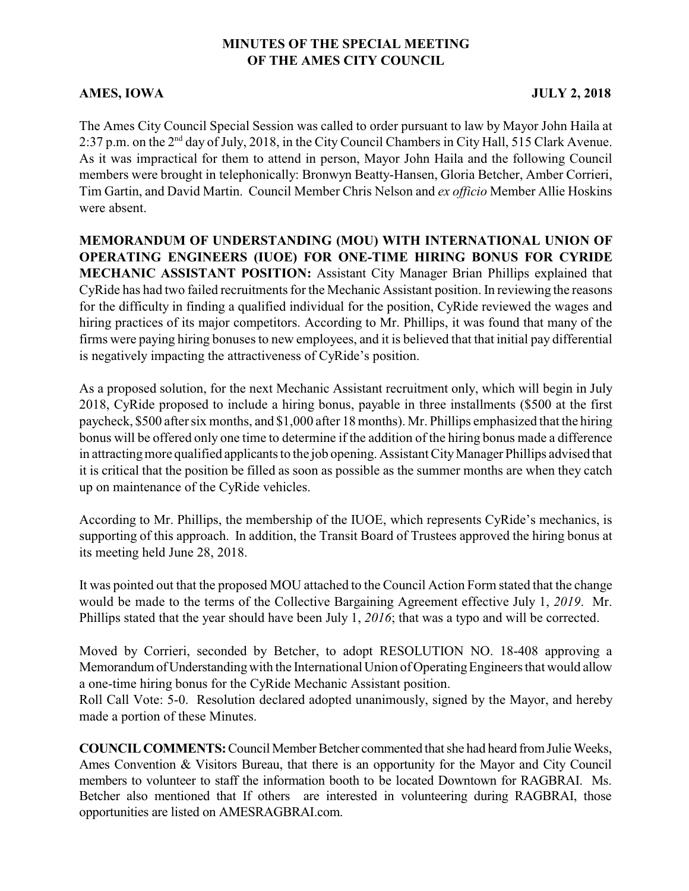## **MINUTES OF THE SPECIAL MEETING OF THE AMES CITY COUNCIL**

## AMES, IOWA JULY 2, 2018

The Ames City Council Special Session was called to order pursuant to law by Mayor John Haila at 2:37 p.m. on the  $2<sup>nd</sup>$  day of July, 2018, in the City Council Chambers in City Hall, 515 Clark Avenue. As it was impractical for them to attend in person, Mayor John Haila and the following Council members were brought in telephonically: Bronwyn Beatty-Hansen, Gloria Betcher, Amber Corrieri, Tim Gartin, and David Martin. Council Member Chris Nelson and *ex officio* Member Allie Hoskins were absent.

**MEMORANDUM OF UNDERSTANDING (MOU) WITH INTERNATIONAL UNION OF OPERATING ENGINEERS (IUOE) FOR ONE-TIME HIRING BONUS FOR CYRIDE MECHANIC ASSISTANT POSITION:** Assistant City Manager Brian Phillips explained that CyRide has had two failed recruitments for the Mechanic Assistant position. In reviewing the reasons for the difficulty in finding a qualified individual for the position, CyRide reviewed the wages and hiring practices of its major competitors. According to Mr. Phillips, it was found that many of the firms were paying hiring bonuses to new employees, and it is believed that that initial pay differential is negatively impacting the attractiveness of CyRide's position.

As a proposed solution, for the next Mechanic Assistant recruitment only, which will begin in July 2018, CyRide proposed to include a hiring bonus, payable in three installments (\$500 at the first paycheck, \$500 after six months, and \$1,000 after 18 months). Mr. Phillips emphasized that the hiring bonus will be offered only one time to determine if the addition of the hiring bonus made a difference in attractingmore qualified applicants to the job opening. Assistant CityManager Phillips advised that it is critical that the position be filled as soon as possible as the summer months are when they catch up on maintenance of the CyRide vehicles.

According to Mr. Phillips, the membership of the IUOE, which represents CyRide's mechanics, is supporting of this approach. In addition, the Transit Board of Trustees approved the hiring bonus at its meeting held June 28, 2018.

It was pointed out that the proposed MOU attached to the Council Action Form stated that the change would be made to the terms of the Collective Bargaining Agreement effective July 1, *2019*. Mr. Phillips stated that the year should have been July 1, *2016*; that was a typo and will be corrected.

Moved by Corrieri, seconded by Betcher, to adopt RESOLUTION NO. 18-408 approving a Memorandum of Understanding with the International Union of Operating Engineers that would allow a one-time hiring bonus for the CyRide Mechanic Assistant position.

Roll Call Vote: 5-0. Resolution declared adopted unanimously, signed by the Mayor, and hereby made a portion of these Minutes.

**COUNCIL COMMENTS:** Council Member Betcher commented that she had heard from Julie Weeks, Ames Convention & Visitors Bureau, that there is an opportunity for the Mayor and City Council members to volunteer to staff the information booth to be located Downtown for RAGBRAI. Ms. Betcher also mentioned that If others are interested in volunteering during RAGBRAI, those opportunities are listed on AMESRAGBRAI.com.